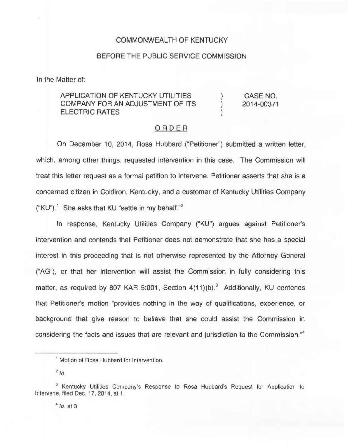## COMMONWEALTH OF KENTUCKY

## BEFORE THE PUBLIC SERVICE COMMISSION

In the Matter of:

## APPLICATION OF KENTUCKY UTILITIES COMPANY FOR AN ADJUSTMENT OF ITS ELECTRIC RATES

) CASE NO.<br>1 2014-00371 ) 2014-00371

)

## ORDER

On December 10, 2014, Rosa Hubbard ("Petitioner") submitted a written letter which, among other things, requested intervention in this case. The Commission will treat this letter request as a formal petition to intervene. Petitioner asserts that she is a concerned citizen in Coldiron, Kentucky, and a customer of Kentucky Utilities Company ("KU").<sup>1</sup> She asks that KU "settle in my behalf."<sup>2</sup>

response, Kentucky Utilities Company ("KU") argues against Petitioner's intervention and contends that Petitioner does not demonstrate that she has a special interest in this proceeding that is not otherwise represented by the Attorney General ("AG"), or that her intervention will assist the Commission in fully considering this matter, as required by 807 KAR 5:001, Section  $4(11)(b)$ .<sup>3</sup> Additionally, KU contends that Petitioner's motion "provides nothing in the way of qualifications, experience, or background that give reason to believe that she could assist the Commission in considering the facts and issues that are relevant and jurisdiction to the Commission.<sup>"4</sup>

Motion of Rosa Hubbard for Intervention.

 $2/d$ 

<sup>&</sup>lt;sup>3</sup> Kentucky Utilities Company's Response to Rosa Hubbard's Request for Application to Intervene, filed Dec. 17, 2014, at t.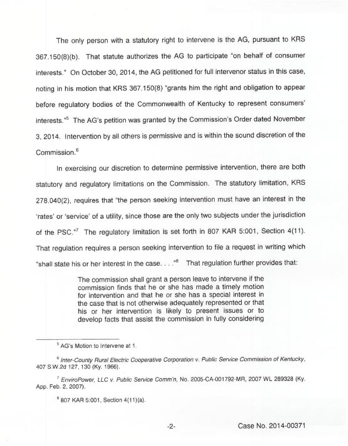The only person with a statutory right to intervene is the AG, pursuant to KRS 367.150(8)(b). That statute authorizes the AG to participate "on behalf of consumer interests." On October 30, 2014, the AG petitioned for full intervenor status in this case, noting in his motion that KRS 367.150(8) "grants him the right and obligation to appear before regulatory bodies of the Commonwealth of Kentucky to represent consumers' AG's petition was granted by the Commission's Order dated Novembe 3, 2014. Intervention by all others is permissive and is within the sound discretion of the  $Common<sup>6</sup>$ 

In exercising our discretion to determine permissive intervention, there are both statutory and regulatory limitations on the Commission. The statutory limitation, KRS 278.040(2), requires that "the person seeking intervention must have an interest in the 'rates' or 'service' of a utility, since those are the only two subjects under the jurisdiction of the PSC."<sup>7</sup> The regulatory limitation is set forth in 807 KAR 5:001, Section 4(11). That regulation requires a person seeking intervention to file a request in writing which "shall state his or her interest in the case...." $B$  That regulation further provides that:

> The commission shall grant a person leave to intervene if the commission finds that he or she has made a timely motion for intervention and that he or she has a special interest in the case that is not otherwise adequately represented or that his or her intervention is likely to present issues or to develop facts that assist the commission in fully considering

<sup>&</sup>lt;sup>5</sup> AG's Motion to Intervene at 1.

<sup>&</sup>lt;sup>6</sup> Inter-County Rural Electric Cooperative Corporation v. Public Service Commission of Kentucky, 407 S.W.2d 127, 130 (Ky. 1966).

 $7$  EnviroPower, LLC v. Public Service Comm'n, No. 2005-CA-001792-MR, 2007 WL 289328 (Ky. App. Feb. 2, 2007).

 $B$  807 KAR 5:001, Section 4(11)(a).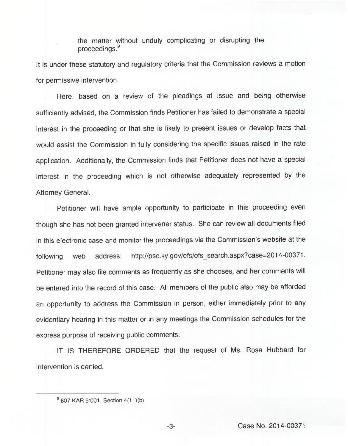the matter without unduly complicating or disrupting the proceedings.<sup>9</sup> proceedings.'t

It is under these statutory and regulatory criteria that the Commission reviews a motion for permissive intervention.

Here, based on a review of the pleadings at issue and being otherwise sufficiently advised, the Commission finds Petitioner has failed to demonstrate a special interest in the proceeding or that she is likely to present issues or develop facts that would assist the Commission in fully considering the specific issues raised in the rate application. Additionally, the Commission finds that Petitioner does not have a special interest in the proceeding which is not otherwise adequately represented by the Attorney General.

Petitioner will have ample opportunity to participate in this proceeding even though she has not been granted intervener status. She can review all documents filed in this electronic case and monitor the proceedings via the Commission's website at the following web address: http://psc.ky.gov/efs/efs search.aspx?case=2014-00371. Petitioner may also file comments as frequently as she chooses, and her comments will be entered into the record of this case. All members of the public also may be afforded an opportunity to address the Commission in person, either immediately prior to any evidentiary hearing in this matter or in any meetings the Commission schedules for the express purpose of receiving public comments.

IT IS THEREFORE ORDERED that the request of Ms. Rosa Hubbard for intervention is denied.

 $-3-$ 

<sup>&</sup>lt;sup>9</sup> 807 KAR 5:001, Section 4(11)(b).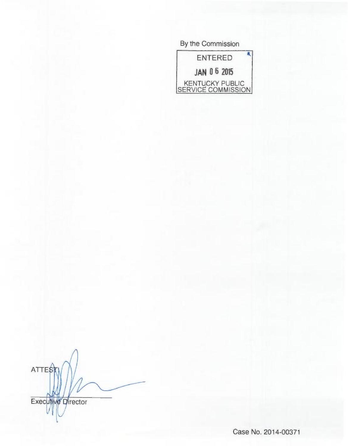| By the Commission                     |
|---------------------------------------|
| <b>ENTERED</b>                        |
| <b>JAN 06 2015</b>                    |
| KENTUCKY PUBLIC<br>SERVICE COMMISSION |

**ATTES** Executive Director